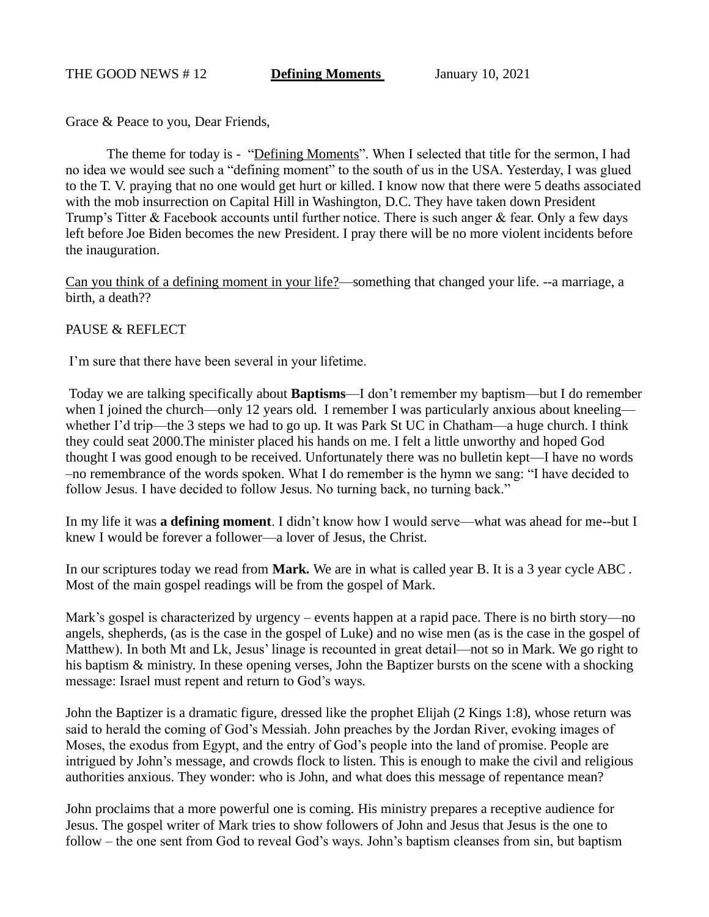Grace & Peace to you, Dear Friends,

The theme for today is - "Defining Moments". When I selected that title for the sermon, I had no idea we would see such a "defining moment" to the south of us in the USA. Yesterday, I was glued to the T. V. praying that no one would get hurt or killed. I know now that there were 5 deaths associated with the mob insurrection on Capital Hill in Washington, D.C. They have taken down President Trump's Titter & Facebook accounts until further notice. There is such anger & fear. Only a few days left before Joe Biden becomes the new President. I pray there will be no more violent incidents before the inauguration.

Can you think of a defining moment in your life?—something that changed your life. --a marriage, a birth, a death??

## PAUSE & REFLECT

I'm sure that there have been several in your lifetime.

Today we are talking specifically about **Baptisms**—I don't remember my baptism—but I do remember when I joined the church—only 12 years old. I remember I was particularly anxious about kneeling whether I'd trip—the 3 steps we had to go up. It was Park St UC in Chatham—a huge church. I think they could seat 2000.The minister placed his hands on me. I felt a little unworthy and hoped God thought I was good enough to be received. Unfortunately there was no bulletin kept—I have no words –no remembrance of the words spoken. What I do remember is the hymn we sang: "I have decided to follow Jesus. I have decided to follow Jesus. No turning back, no turning back."

In my life it was **a defining moment**. I didn't know how I would serve—what was ahead for me--but I knew I would be forever a follower—a lover of Jesus, the Christ.

In our scriptures today we read from **Mark.** We are in what is called year B. It is a 3 year cycle ABC . Most of the main gospel readings will be from the gospel of Mark.

Mark's gospel is characterized by urgency – events happen at a rapid pace. There is no birth story—no angels, shepherds, (as is the case in the gospel of Luke) and no wise men (as is the case in the gospel of Matthew). In both Mt and Lk, Jesus' linage is recounted in great detail—not so in Mark. We go right to his baptism & ministry. In these opening verses, John the Baptizer bursts on the scene with a shocking message: Israel must repent and return to God's ways.

John the Baptizer is a dramatic figure, dressed like the prophet Elijah (2 Kings 1:8), whose return was said to herald the coming of God's Messiah. John preaches by the Jordan River, evoking images of Moses, the exodus from Egypt, and the entry of God's people into the land of promise. People are intrigued by John's message, and crowds flock to listen. This is enough to make the civil and religious authorities anxious. They wonder: who is John, and what does this message of repentance mean?

John proclaims that a more powerful one is coming. His ministry prepares a receptive audience for Jesus. The gospel writer of Mark tries to show followers of John and Jesus that Jesus is the one to follow – the one sent from God to reveal God's ways. John's baptism cleanses from sin, but baptism